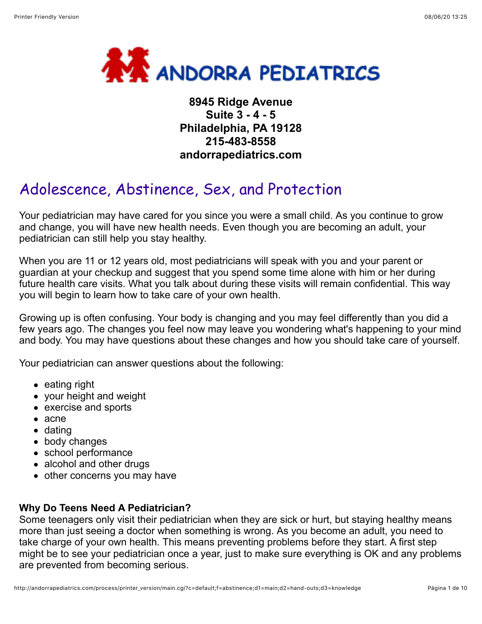

**8945 Ridge Avenue Suite 3 - 4 - 5 Philadelphia, PA 19128 215-483-8558 andorrapediatrics.com**

# Adolescence, Abstinence, Sex, and Protection

Your pediatrician may have cared for you since you were a small child. As you continue to grow and change, you will have new health needs. Even though you are becoming an adult, your pediatrician can still help you stay healthy.

When you are 11 or 12 years old, most pediatricians will speak with you and your parent or guardian at your checkup and suggest that you spend some time alone with him or her during future health care visits. What you talk about during these visits will remain confidential. This way you will begin to learn how to take care of your own health.

Growing up is often confusing. Your body is changing and you may feel differently than you did a few years ago. The changes you feel now may leave you wondering what's happening to your mind and body. You may have questions about these changes and how you should take care of yourself.

Your pediatrician can answer questions about the following:

- $\bullet$  eating right
- your height and weight
- exercise and sports
- acne
- dating
- body changes
- school performance
- alcohol and other drugs
- other concerns you may have

#### **Why Do Teens Need A Pediatrician?**

Some teenagers only visit their pediatrician when they are sick or hurt, but staying healthy means more than just seeing a doctor when something is wrong. As you become an adult, you need to take charge of your own health. This means preventing problems before they start. A first step might be to see your pediatrician once a year, just to make sure everything is OK and any problems are prevented from becoming serious.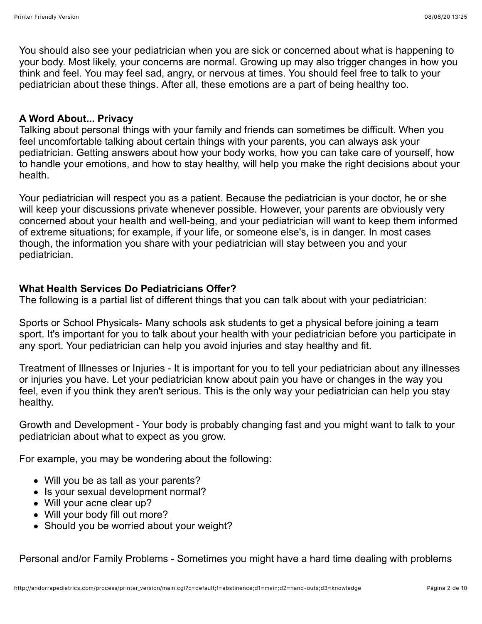You should also see your pediatrician when you are sick or concerned about what is happening to your body. Most likely, your concerns are normal. Growing up may also trigger changes in how you think and feel. You may feel sad, angry, or nervous at times. You should feel free to talk to your pediatrician about these things. After all, these emotions are a part of being healthy too.

#### **A Word About... Privacy**

Talking about personal things with your family and friends can sometimes be difficult. When you feel uncomfortable talking about certain things with your parents, you can always ask your pediatrician. Getting answers about how your body works, how you can take care of yourself, how to handle your emotions, and how to stay healthy, will help you make the right decisions about your health.

Your pediatrician will respect you as a patient. Because the pediatrician is your doctor, he or she will keep your discussions private whenever possible. However, your parents are obviously very concerned about your health and well-being, and your pediatrician will want to keep them informed of extreme situations; for example, if your life, or someone else's, is in danger. In most cases though, the information you share with your pediatrician will stay between you and your pediatrician.

#### **What Health Services Do Pediatricians Offer?**

The following is a partial list of different things that you can talk about with your pediatrician:

Sports or School Physicals- Many schools ask students to get a physical before joining a team sport. It's important for you to talk about your health with your pediatrician before you participate in any sport. Your pediatrician can help you avoid injuries and stay healthy and fit.

Treatment of Illnesses or Injuries - It is important for you to tell your pediatrician about any illnesses or injuries you have. Let your pediatrician know about pain you have or changes in the way you feel, even if you think they aren't serious. This is the only way your pediatrician can help you stay healthy.

Growth and Development - Your body is probably changing fast and you might want to talk to your pediatrician about what to expect as you grow.

For example, you may be wondering about the following:

- Will you be as tall as your parents?
- Is your sexual development normal?
- Will your acne clear up?
- Will your body fill out more?
- Should you be worried about your weight?

Personal and/or Family Problems - Sometimes you might have a hard time dealing with problems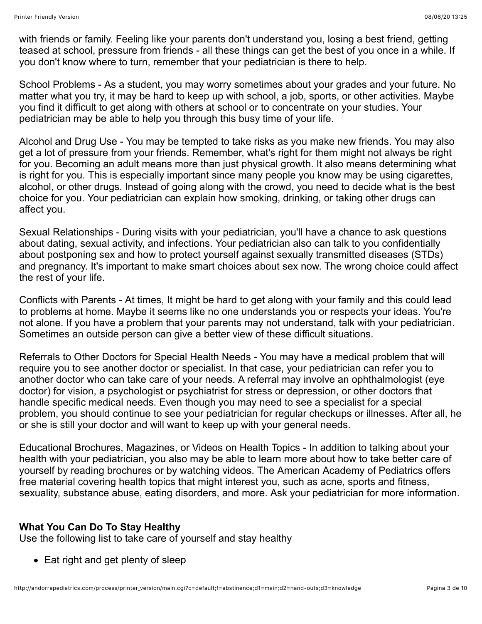with friends or family. Feeling like your parents don't understand you, losing a best friend, getting teased at school, pressure from friends - all these things can get the best of you once in a while. If you don't know where to turn, remember that your pediatrician is there to help.

School Problems - As a student, you may worry sometimes about your grades and your future. No matter what you try, it may be hard to keep up with school, a job, sports, or other activities. Maybe you find it difficult to get along with others at school or to concentrate on your studies. Your pediatrician may be able to help you through this busy time of your life.

Alcohol and Drug Use - You may be tempted to take risks as you make new friends. You may also get a lot of pressure from your friends. Remember, what's right for them might not always be right for you. Becoming an adult means more than just physical growth. It also means determining what is right for you. This is especially important since many people you know may be using cigarettes, alcohol, or other drugs. Instead of going along with the crowd, you need to decide what is the best choice for you. Your pediatrician can explain how smoking, drinking, or taking other drugs can affect you.

Sexual Relationships - During visits with your pediatrician, you'll have a chance to ask questions about dating, sexual activity, and infections. Your pediatrician also can talk to you confidentially about postponing sex and how to protect yourself against sexually transmitted diseases (STDs) and pregnancy. It's important to make smart choices about sex now. The wrong choice could affect the rest of your life.

Conflicts with Parents - At times, It might be hard to get along with your family and this could lead to problems at home. Maybe it seems like no one understands you or respects your ideas. You're not alone. If you have a problem that your parents may not understand, talk with your pediatrician. Sometimes an outside person can give a better view of these difficult situations.

Referrals to Other Doctors for Special Health Needs - You may have a medical problem that will require you to see another doctor or specialist. In that case, your pediatrician can refer you to another doctor who can take care of your needs. A referral may involve an ophthalmologist (eye doctor) for vision, a psychologist or psychiatrist for stress or depression, or other doctors that handle specific medical needs. Even though you may need to see a specialist for a special problem, you should continue to see your pediatrician for regular checkups or illnesses. After all, he or she is still your doctor and will want to keep up with your general needs.

Educational Brochures, Magazines, or Videos on Health Topics - In addition to talking about your health with your pediatrician, you also may be able to learn more about how to take better care of yourself by reading brochures or by watching videos. The American Academy of Pediatrics offers free material covering health topics that might interest you, such as acne, sports and fitness, sexuality, substance abuse, eating disorders, and more. Ask your pediatrician for more information.

## **What You Can Do To Stay Healthy**

Use the following list to take care of yourself and stay healthy

• Eat right and get plenty of sleep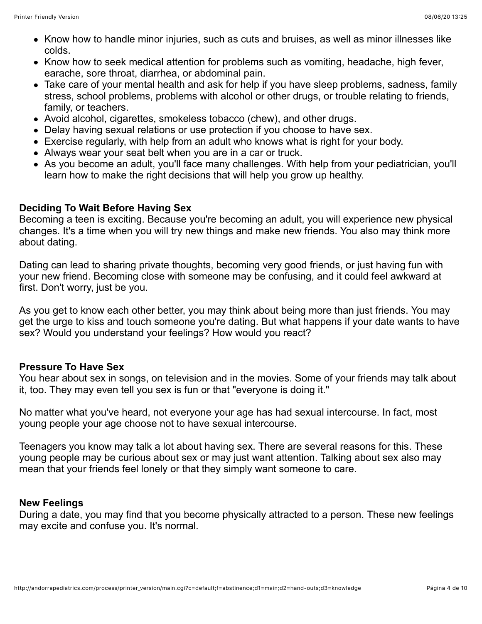- Know how to handle minor injuries, such as cuts and bruises, as well as minor illnesses like colds.
- Know how to seek medical attention for problems such as vomiting, headache, high fever, earache, sore throat, diarrhea, or abdominal pain.
- Take care of your mental health and ask for help if you have sleep problems, sadness, family stress, school problems, problems with alcohol or other drugs, or trouble relating to friends, family, or teachers.
- Avoid alcohol, cigarettes, smokeless tobacco (chew), and other drugs.
- Delay having sexual relations or use protection if you choose to have sex.
- Exercise regularly, with help from an adult who knows what is right for your body.
- Always wear your seat belt when you are in a car or truck.
- As you become an adult, you'll face many challenges. With help from your pediatrician, you'll learn how to make the right decisions that will help you grow up healthy.

# **Deciding To Wait Before Having Sex**

Becoming a teen is exciting. Because you're becoming an adult, you will experience new physical changes. It's a time when you will try new things and make new friends. You also may think more about dating.

Dating can lead to sharing private thoughts, becoming very good friends, or just having fun with your new friend. Becoming close with someone may be confusing, and it could feel awkward at first. Don't worry, just be you.

As you get to know each other better, you may think about being more than just friends. You may get the urge to kiss and touch someone you're dating. But what happens if your date wants to have sex? Would you understand your feelings? How would you react?

# **Pressure To Have Sex**

You hear about sex in songs, on television and in the movies. Some of your friends may talk about it, too. They may even tell you sex is fun or that "everyone is doing it."

No matter what you've heard, not everyone your age has had sexual intercourse. In fact, most young people your age choose not to have sexual intercourse.

Teenagers you know may talk a lot about having sex. There are several reasons for this. These young people may be curious about sex or may just want attention. Talking about sex also may mean that your friends feel lonely or that they simply want someone to care.

## **New Feelings**

During a date, you may find that you become physically attracted to a person. These new feelings may excite and confuse you. It's normal.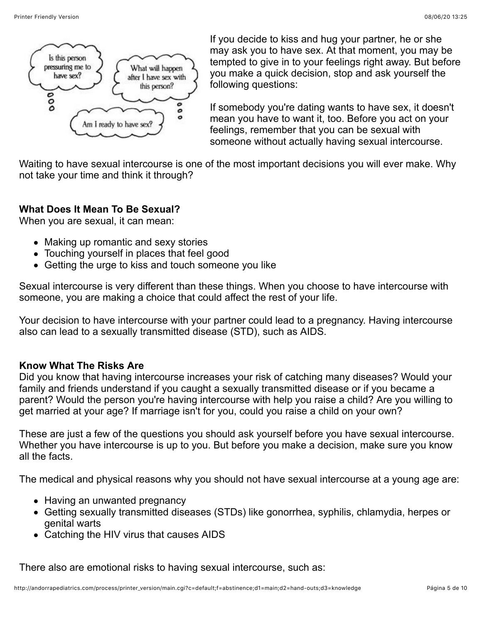

If you decide to kiss and hug your partner, he or she may ask you to have sex. At that moment, you may be tempted to give in to your feelings right away. But before you make a quick decision, stop and ask yourself the following questions:

If somebody you're dating wants to have sex, it doesn't mean you have to want it, too. Before you act on your feelings, remember that you can be sexual with someone without actually having sexual intercourse.

Waiting to have sexual intercourse is one of the most important decisions you will ever make. Why not take your time and think it through?

## **What Does It Mean To Be Sexual?**

When you are sexual, it can mean:

- Making up romantic and sexy stories
- Touching yourself in places that feel good
- Getting the urge to kiss and touch someone you like

Sexual intercourse is very different than these things. When you choose to have intercourse with someone, you are making a choice that could affect the rest of your life.

Your decision to have intercourse with your partner could lead to a pregnancy. Having intercourse also can lead to a sexually transmitted disease (STD), such as AIDS.

## **Know What The Risks Are**

Did you know that having intercourse increases your risk of catching many diseases? Would your family and friends understand if you caught a sexually transmitted disease or if you became a parent? Would the person you're having intercourse with help you raise a child? Are you willing to get married at your age? If marriage isn't for you, could you raise a child on your own?

These are just a few of the questions you should ask yourself before you have sexual intercourse. Whether you have intercourse is up to you. But before you make a decision, make sure you know all the facts.

The medical and physical reasons why you should not have sexual intercourse at a young age are:

- Having an unwanted pregnancy
- Getting sexually transmitted diseases (STDs) like gonorrhea, syphilis, chlamydia, herpes or genital warts
- Catching the HIV virus that causes AIDS

There also are emotional risks to having sexual intercourse, such as: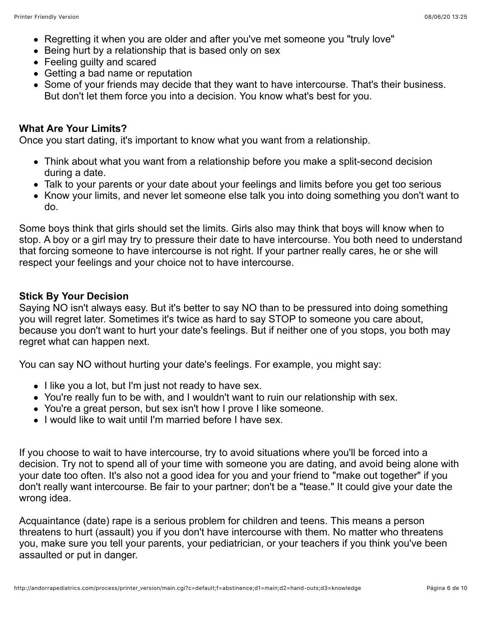- Regretting it when you are older and after you've met someone you "truly love"
- Being hurt by a relationship that is based only on sex
- Feeling guilty and scared
- Getting a bad name or reputation
- Some of your friends may decide that they want to have intercourse. That's their business. But don't let them force you into a decision. You know what's best for you.

#### **What Are Your Limits?**

Once you start dating, it's important to know what you want from a relationship.

- Think about what you want from a relationship before you make a split-second decision during a date.
- Talk to your parents or your date about your feelings and limits before you get too serious
- Know your limits, and never let someone else talk you into doing something you don't want to do.

Some boys think that girls should set the limits. Girls also may think that boys will know when to stop. A boy or a girl may try to pressure their date to have intercourse. You both need to understand that forcing someone to have intercourse is not right. If your partner really cares, he or she will respect your feelings and your choice not to have intercourse.

#### **Stick By Your Decision**

Saying NO isn't always easy. But it's better to say NO than to be pressured into doing something you will regret later. Sometimes it's twice as hard to say STOP to someone you care about, because you don't want to hurt your date's feelings. But if neither one of you stops, you both may regret what can happen next.

You can say NO without hurting your date's feelings. For example, you might say:

- $\bullet$  I like you a lot, but I'm just not ready to have sex.
- You're really fun to be with, and I wouldn't want to ruin our relationship with sex.
- You're a great person, but sex isn't how I prove I like someone.
- I would like to wait until I'm married before I have sex.

If you choose to wait to have intercourse, try to avoid situations where you'll be forced into a decision. Try not to spend all of your time with someone you are dating, and avoid being alone with your date too often. It's also not a good idea for you and your friend to "make out together" if you don't really want intercourse. Be fair to your partner; don't be a "tease." It could give your date the wrong idea.

Acquaintance (date) rape is a serious problem for children and teens. This means a person threatens to hurt (assault) you if you don't have intercourse with them. No matter who threatens you, make sure you tell your parents, your pediatrician, or your teachers if you think you've been assaulted or put in danger.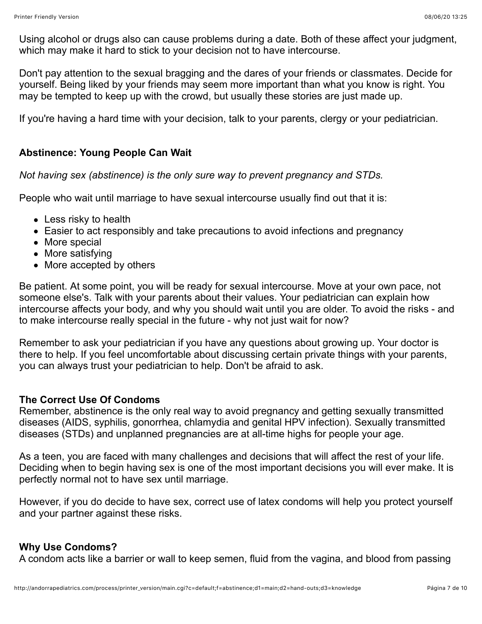Using alcohol or drugs also can cause problems during a date. Both of these affect your judgment, which may make it hard to stick to your decision not to have intercourse.

Don't pay attention to the sexual bragging and the dares of your friends or classmates. Decide for yourself. Being liked by your friends may seem more important than what you know is right. You may be tempted to keep up with the crowd, but usually these stories are just made up.

If you're having a hard time with your decision, talk to your parents, clergy or your pediatrician.

# **Abstinence: Young People Can Wait**

*Not having sex (abstinence) is the only sure way to prevent pregnancy and STDs.*

People who wait until marriage to have sexual intercourse usually find out that it is:

- Less risky to health
- Easier to act responsibly and take precautions to avoid infections and pregnancy
- More special
- More satisfying
- More accepted by others

Be patient. At some point, you will be ready for sexual intercourse. Move at your own pace, not someone else's. Talk with your parents about their values. Your pediatrician can explain how intercourse affects your body, and why you should wait until you are older. To avoid the risks - and to make intercourse really special in the future - why not just wait for now?

Remember to ask your pediatrician if you have any questions about growing up. Your doctor is there to help. If you feel uncomfortable about discussing certain private things with your parents, you can always trust your pediatrician to help. Don't be afraid to ask.

## **The Correct Use Of Condoms**

Remember, abstinence is the only real way to avoid pregnancy and getting sexually transmitted diseases (AIDS, syphilis, gonorrhea, chlamydia and genital HPV infection). Sexually transmitted diseases (STDs) and unplanned pregnancies are at all-time highs for people your age.

As a teen, you are faced with many challenges and decisions that will affect the rest of your life. Deciding when to begin having sex is one of the most important decisions you will ever make. It is perfectly normal not to have sex until marriage.

However, if you do decide to have sex, correct use of latex condoms will help you protect yourself and your partner against these risks.

## **Why Use Condoms?**

A condom acts like a barrier or wall to keep semen, fluid from the vagina, and blood from passing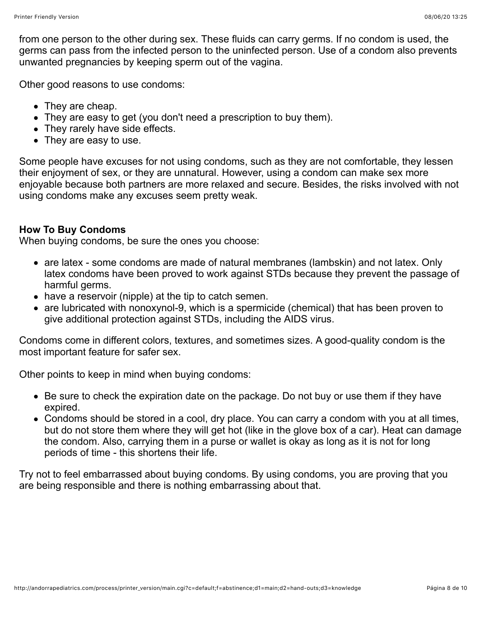from one person to the other during sex. These fluids can carry germs. If no condom is used, the germs can pass from the infected person to the uninfected person. Use of a condom also prevents unwanted pregnancies by keeping sperm out of the vagina.

Other good reasons to use condoms:

- They are cheap.
- They are easy to get (you don't need a prescription to buy them).
- They rarely have side effects.
- They are easy to use.

Some people have excuses for not using condoms, such as they are not comfortable, they lessen their enjoyment of sex, or they are unnatural. However, using a condom can make sex more enjoyable because both partners are more relaxed and secure. Besides, the risks involved with not using condoms make any excuses seem pretty weak.

# **How To Buy Condoms**

When buying condoms, be sure the ones you choose:

- are latex some condoms are made of natural membranes (lambskin) and not latex. Only latex condoms have been proved to work against STDs because they prevent the passage of harmful germs.
- have a reservoir (nipple) at the tip to catch semen.
- are lubricated with nonoxynol-9, which is a spermicide (chemical) that has been proven to give additional protection against STDs, including the AIDS virus.

Condoms come in different colors, textures, and sometimes sizes. A good-quality condom is the most important feature for safer sex.

Other points to keep in mind when buying condoms:

- Be sure to check the expiration date on the package. Do not buy or use them if they have expired.
- Condoms should be stored in a cool, dry place. You can carry a condom with you at all times, but do not store them where they will get hot (like in the glove box of a car). Heat can damage the condom. Also, carrying them in a purse or wallet is okay as long as it is not for long periods of time - this shortens their life.

Try not to feel embarrassed about buying condoms. By using condoms, you are proving that you are being responsible and there is nothing embarrassing about that.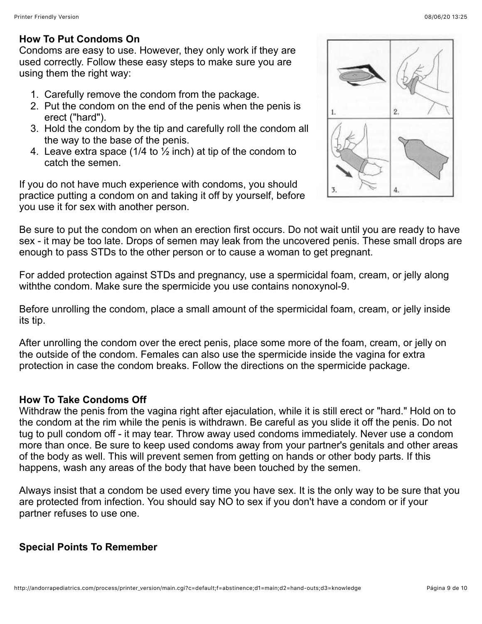#### **How To Put Condoms On**

Condoms are easy to use. However, they only work if they are used correctly. Follow these easy steps to make sure you are using them the right way:

- 1. Carefully remove the condom from the package.
- 2. Put the condom on the end of the penis when the penis is erect ("hard").
- 3. Hold the condom by the tip and carefully roll the condom all the way to the base of the penis.
- 4. Leave extra space (1/4 to  $\frac{1}{2}$  inch) at tip of the condom to catch the semen.

If you do not have much experience with condoms, you should practice putting a condom on and taking it off by yourself, before you use it for sex with another person.



Be sure to put the condom on when an erection first occurs. Do not wait until you are ready to have sex - it may be too late. Drops of semen may leak from the uncovered penis. These small drops are enough to pass STDs to the other person or to cause a woman to get pregnant.

For added protection against STDs and pregnancy, use a spermicidal foam, cream, or jelly along withthe condom. Make sure the spermicide you use contains nonoxynol-9.

Before unrolling the condom, place a small amount of the spermicidal foam, cream, or jelly inside its tip.

After unrolling the condom over the erect penis, place some more of the foam, cream, or jelly on the outside of the condom. Females can also use the spermicide inside the vagina for extra protection in case the condom breaks. Follow the directions on the spermicide package.

## **How To Take Condoms Off**

Withdraw the penis from the vagina right after ejaculation, while it is still erect or "hard." Hold on to the condom at the rim while the penis is withdrawn. Be careful as you slide it off the penis. Do not tug to pull condom off - it may tear. Throw away used condoms immediately. Never use a condom more than once. Be sure to keep used condoms away from your partner's genitals and other areas of the body as well. This will prevent semen from getting on hands or other body parts. If this happens, wash any areas of the body that have been touched by the semen.

Always insist that a condom be used every time you have sex. It is the only way to be sure that you are protected from infection. You should say NO to sex if you don't have a condom or if your partner refuses to use one.

#### **Special Points To Remember**